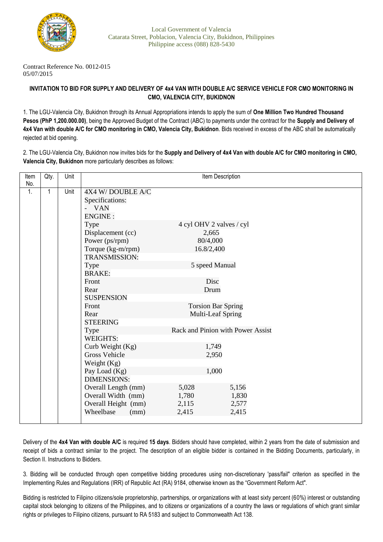

Contract Reference No. 0012-015 05/07/2015

## **INVITATION TO BID FOR SUPPLY AND DELIVERY OF 4x4 VAN WITH DOUBLE A/C SERVICE VEHICLE FOR CMO MONITORING IN CMO, VALENCIA CITY, BUKIDNON**

1. The LGU-Valencia City, Bukidnon through its Annual Appropriations intends to apply the sum of **One Million Two Hundred Thousand Pesos (PhP 1,200.000.00)**, being the Approved Budget of the Contract (ABC) to payments under the contract for the **Supply and Delivery of 4x4 Van with double A/C for CMO monitoring in CMO, Valencia City, Bukidnon**. Bids received in excess of the ABC shall be automatically rejected at bid opening.

2. The LGU-Valencia City, Bukidnon now invites bids for the **Supply and Delivery of 4x4 Van with double A/C for CMO monitoring in CMO, Valencia City, Bukidnon** more particularly describes as follows:

| Item | Qty.         | Unit | Item Description     |                                   |       |
|------|--------------|------|----------------------|-----------------------------------|-------|
| No.  |              |      |                      |                                   |       |
| 1.   | $\mathbf{1}$ | Unit | 4X4 W/DOUBLE A/C     |                                   |       |
|      |              |      | Specifications:      |                                   |       |
|      |              |      | <b>VAN</b>           |                                   |       |
|      |              |      | <b>ENGINE:</b>       |                                   |       |
|      |              |      | Type                 | 4 cyl OHV 2 valves / cyl          |       |
|      |              |      | Displacement (cc)    | 2,665                             |       |
|      |              |      | Power (ps/rpm)       | 80/4,000                          |       |
|      |              |      | Torque (kg-m/rpm)    | 16.8/2,400                        |       |
|      |              |      | <b>TRANSMISSION:</b> |                                   |       |
|      |              |      | Type                 | 5 speed Manual                    |       |
|      |              |      | <b>BRAKE:</b>        |                                   |       |
|      |              |      | Front                | Disc                              |       |
|      |              |      | Rear                 | Drum                              |       |
|      |              |      | <b>SUSPENSION</b>    |                                   |       |
|      |              |      | Front                | <b>Torsion Bar Spring</b>         |       |
|      |              |      | Rear                 | Multi-Leaf Spring                 |       |
|      |              |      | <b>STEERING</b>      |                                   |       |
|      |              |      | Type                 | Rack and Pinion with Power Assist |       |
|      |              |      | <b>WEIGHTS:</b>      |                                   |       |
|      |              |      | Curb Weight (Kg)     | 1,749                             |       |
|      |              |      | <b>Gross Vehicle</b> | 2,950                             |       |
|      | Weight (Kg)  |      |                      |                                   |       |
|      |              |      | Pay Load (Kg)        | 1,000                             |       |
|      |              |      | <b>DIMENSIONS:</b>   |                                   |       |
|      |              |      | Overall Length (mm)  | 5,028                             | 5,156 |
|      |              |      | Overall Width (mm)   | 1,780                             | 1,830 |
|      |              |      | Overall Height (mm)  | 2,115                             | 2,577 |
|      |              |      | Wheelbase<br>(mm)    | 2,415                             | 2,415 |
|      |              |      |                      |                                   |       |

Delivery of the **4x4 Van with double A/C** is required **15 days**. Bidders should have completed, within 2 years from the date of submission and receipt of bids a contract similar to the project. The description of an eligible bidder is contained in the Bidding Documents, particularly, in Section II. Instructions to Bidders.

3. Bidding will be conducted through open competitive bidding procedures using non-discretionary 'pass/fail" criterion as specified in the Implementing Rules and Regulations (IRR) of Republic Act (RA) 9184, otherwise known as the "Government Reform Act".

Bidding is restricted to Filipino citizens/sole proprietorship, partnerships, or organizations with at least sixty percent (60%) interest or outstanding capital stock belonging to citizens of the Philippines, and to citizens or organizations of a country the laws or regulations of which grant similar rights or privileges to Filipino citizens, pursuant to RA 5183 and subject to Commonwealth Act 138.